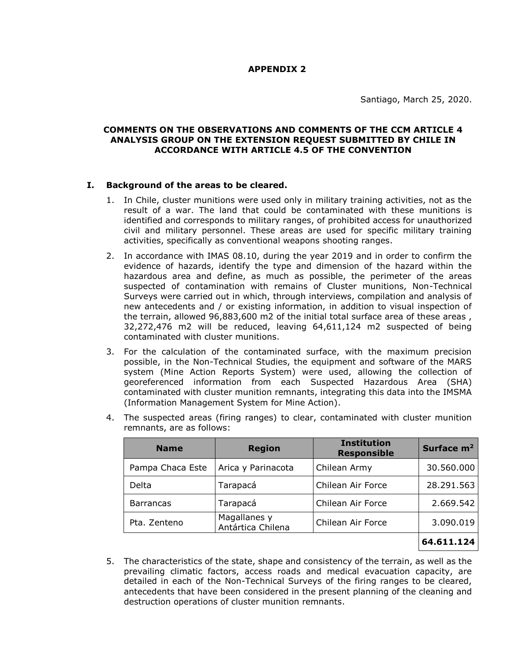# **APPENDIX 2**

Santiago, March 25, 2020.

# **COMMENTS ON THE OBSERVATIONS AND COMMENTS OF THE CCM ARTICLE 4 ANALYSIS GROUP ON THE EXTENSION REQUEST SUBMITTED BY CHILE IN ACCORDANCE WITH ARTICLE 4.5 OF THE CONVENTION**

# **I. Background of the areas to be cleared.**

- 1. In Chile, cluster munitions were used only in military training activities, not as the result of a war. The land that could be contaminated with these munitions is identified and corresponds to military ranges, of prohibited access for unauthorized civil and military personnel. These areas are used for specific military training activities, specifically as conventional weapons shooting ranges.
- 2. In accordance with IMAS 08.10, during the year 2019 and in order to confirm the evidence of hazards, identify the type and dimension of the hazard within the hazardous area and define, as much as possible, the perimeter of the areas suspected of contamination with remains of Cluster munitions, Non-Technical Surveys were carried out in which, through interviews, compilation and analysis of new antecedents and / or existing information, in addition to visual inspection of the terrain, allowed 96,883,600 m2 of the initial total surface area of these areas, 32,272,476 m2 will be reduced, leaving 64,611,124 m2 suspected of being contaminated with cluster munitions.
- 3. For the calculation of the contaminated surface, with the maximum precision possible, in the Non-Technical Studies, the equipment and software of the MARS system (Mine Action Reports System) were used, allowing the collection of georeferenced information from each Suspected Hazardous Area (SHA) contaminated with cluster munition remnants, integrating this data into the IMSMA (Information Management System for Mine Action).
- 4. The suspected areas (firing ranges) to clear, contaminated with cluster munition remnants, are as follows:

| <b>Name</b>      | <b>Region</b>                     | <b>Institution</b><br><b>Responsible</b> | Surface $m2$ |
|------------------|-----------------------------------|------------------------------------------|--------------|
| Pampa Chaca Este | Arica y Parinacota                | Chilean Army                             | 30.560.000   |
| Delta            | Tarapacá                          | Chilean Air Force                        | 28.291.563   |
| <b>Barrancas</b> | Tarapacá                          | Chilean Air Force                        | 2.669.542    |
| Pta. Zenteno     | Magallanes y<br>Antártica Chilena | Chilean Air Force                        | 3.090.019    |
|                  |                                   |                                          | 64.611.124   |

5. The characteristics of the state, shape and consistency of the terrain, as well as the prevailing climatic factors, access roads and medical evacuation capacity, are detailed in each of the Non-Technical Surveys of the firing ranges to be cleared, antecedents that have been considered in the present planning of the cleaning and destruction operations of cluster munition remnants.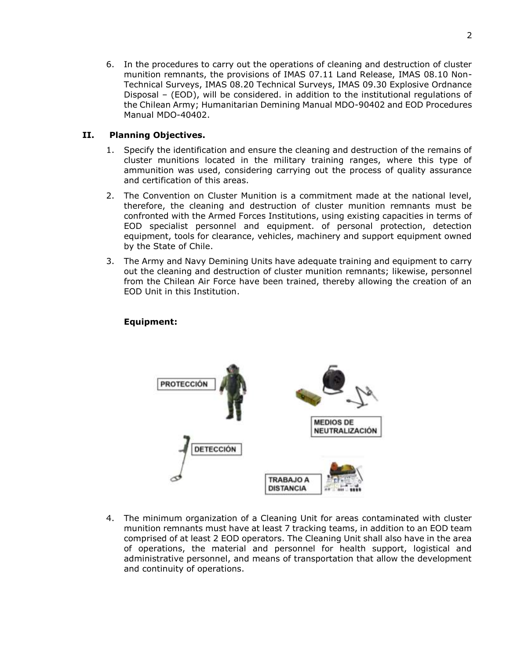6. In the procedures to carry out the operations of cleaning and destruction of cluster munition remnants, the provisions of IMAS 07.11 Land Release, IMAS 08.10 Non-Technical Surveys, IMAS 08.20 Technical Surveys, IMAS 09.30 Explosive Ordnance Disposal – (EOD), will be considered. in addition to the institutional regulations of the Chilean Army; Humanitarian Demining Manual MDO-90402 and EOD Procedures Manual MDO-40402.

# **II. Planning Objectives.**

- 1. Specify the identification and ensure the cleaning and destruction of the remains of cluster munitions located in the military training ranges, where this type of ammunition was used, considering carrying out the process of quality assurance and certification of this areas.
- 2. The Convention on Cluster Munition is a commitment made at the national level, therefore, the cleaning and destruction of cluster munition remnants must be confronted with the Armed Forces Institutions, using existing capacities in terms of EOD specialist personnel and equipment. of personal protection, detection equipment, tools for clearance, vehicles, machinery and support equipment owned by the State of Chile.
- 3. The Army and Navy Demining Units have adequate training and equipment to carry out the cleaning and destruction of cluster munition remnants; likewise, personnel from the Chilean Air Force have been trained, thereby allowing the creation of an EOD Unit in this Institution.

# **Equipment:**



4. The minimum organization of a Cleaning Unit for areas contaminated with cluster munition remnants must have at least 7 tracking teams, in addition to an EOD team comprised of at least 2 EOD operators. The Cleaning Unit shall also have in the area of operations, the material and personnel for health support, logistical and administrative personnel, and means of transportation that allow the development and continuity of operations.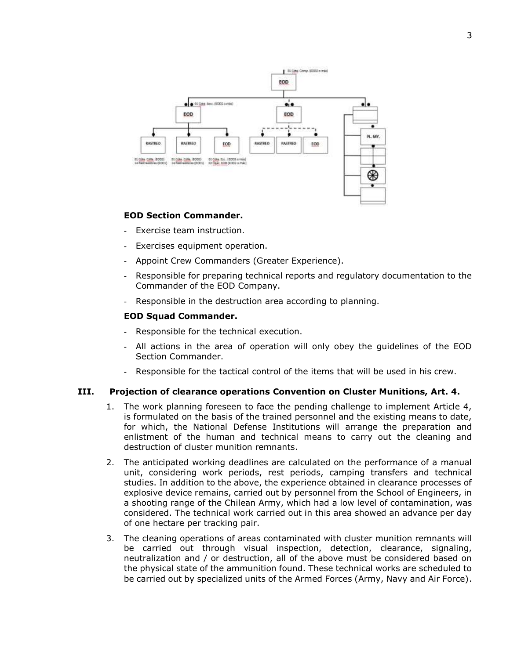

#### **EOD Section Commander.**

- Exercise team instruction.
- Exercises equipment operation.
- Appoint Crew Commanders (Greater Experience).
- Responsible for preparing technical reports and regulatory documentation to the Commander of the EOD Company.
- Responsible in the destruction area according to planning.

#### **EOD Squad Commander.**

- Responsible for the technical execution.
- All actions in the area of operation will only obey the guidelines of the EOD Section Commander.
- Responsible for the tactical control of the items that will be used in his crew.

#### **III. Projection of clearance operations Convention on Cluster Munitions, Art. 4.**

- 1. The work planning foreseen to face the pending challenge to implement Article 4, is formulated on the basis of the trained personnel and the existing means to date, for which, the National Defense Institutions will arrange the preparation and enlistment of the human and technical means to carry out the cleaning and destruction of cluster munition remnants.
- 2. The anticipated working deadlines are calculated on the performance of a manual unit, considering work periods, rest periods, camping transfers and technical studies. In addition to the above, the experience obtained in clearance processes of explosive device remains, carried out by personnel from the School of Engineers, in a shooting range of the Chilean Army, which had a low level of contamination, was considered. The technical work carried out in this area showed an advance per day of one hectare per tracking pair.
- 3. The cleaning operations of areas contaminated with cluster munition remnants will be carried out through visual inspection, detection, clearance, signaling, neutralization and / or destruction, all of the above must be considered based on the physical state of the ammunition found. These technical works are scheduled to be carried out by specialized units of the Armed Forces (Army, Navy and Air Force).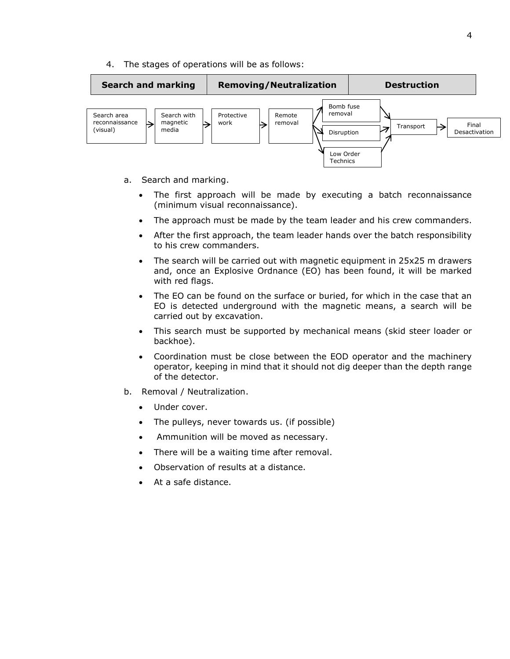4. The stages of operations will be as follows:



- a. Search and marking.
	- The first approach will be made by executing a batch reconnaissance (minimum visual reconnaissance).
	- The approach must be made by the team leader and his crew commanders.
	- After the first approach, the team leader hands over the batch responsibility to his crew commanders.
	- The search will be carried out with magnetic equipment in 25x25 m drawers and, once an Explosive Ordnance (EO) has been found, it will be marked with red flags.
	- The EO can be found on the surface or buried, for which in the case that an EO is detected underground with the magnetic means, a search will be carried out by excavation.
	- This search must be supported by mechanical means (skid steer loader or backhoe).
	- Coordination must be close between the EOD operator and the machinery operator, keeping in mind that it should not dig deeper than the depth range of the detector.
- b. Removal / Neutralization.
	- Under cover.
	- The pulleys, never towards us. (if possible)
	- Ammunition will be moved as necessary.
	- There will be a waiting time after removal.
	- Observation of results at a distance.
	- At a safe distance.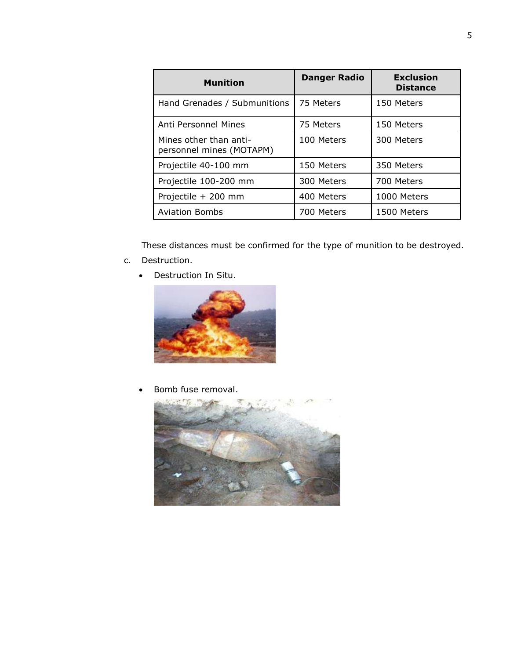| <b>Munition</b>                                    | <b>Danger Radio</b> | <b>Exclusion</b><br><b>Distance</b> |
|----------------------------------------------------|---------------------|-------------------------------------|
| Hand Grenades / Submunitions                       | 75 Meters           | 150 Meters                          |
| Anti Personnel Mines                               | 75 Meters           | 150 Meters                          |
| Mines other than anti-<br>personnel mines (MOTAPM) | 100 Meters          | 300 Meters                          |
| Projectile 40-100 mm                               | 150 Meters          | 350 Meters                          |
| Projectile 100-200 mm                              | 300 Meters          | 700 Meters                          |
| Projectile + 200 mm                                | 400 Meters          | 1000 Meters                         |
| <b>Aviation Bombs</b>                              | 700 Meters          | 1500 Meters                         |

These distances must be confirmed for the type of munition to be destroyed.

- c. Destruction.
	- Destruction In Situ.



• Bomb fuse removal.

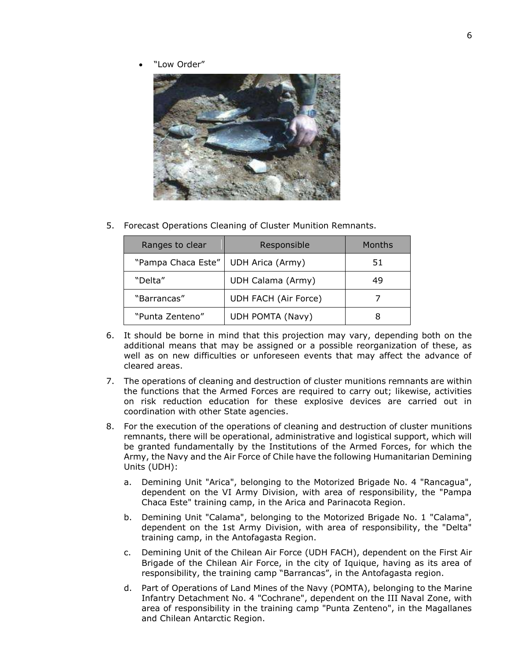"Low Order"



5. Forecast Operations Cleaning of Cluster Munition Remnants.

| Ranges to clear    | Responsible          | Months |
|--------------------|----------------------|--------|
| "Pampa Chaca Este" | UDH Arica (Army)     | 51     |
| "Delta"            | UDH Calama (Army)    | 49     |
| "Barrancas"        | UDH FACH (Air Force) |        |
| "Punta Zenteno"    | UDH POMTA (Navy)     |        |

- 6. It should be borne in mind that this projection may vary, depending both on the additional means that may be assigned or a possible reorganization of these, as well as on new difficulties or unforeseen events that may affect the advance of cleared areas.
- 7. The operations of cleaning and destruction of cluster munitions remnants are within the functions that the Armed Forces are required to carry out; likewise, activities on risk reduction education for these explosive devices are carried out in coordination with other State agencies.
- 8. For the execution of the operations of cleaning and destruction of cluster munitions remnants, there will be operational, administrative and logistical support, which will be granted fundamentally by the Institutions of the Armed Forces, for which the Army, the Navy and the Air Force of Chile have the following Humanitarian Demining Units (UDH):
	- a. Demining Unit "Arica", belonging to the Motorized Brigade No. 4 "Rancagua", dependent on the VI Army Division, with area of responsibility, the "Pampa Chaca Este" training camp, in the Arica and Parinacota Region.
	- b. Demining Unit "Calama", belonging to the Motorized Brigade No. 1 "Calama", dependent on the 1st Army Division, with area of responsibility, the "Delta" training camp, in the Antofagasta Region.
	- c. Demining Unit of the Chilean Air Force (UDH FACH), dependent on the First Air Brigade of the Chilean Air Force, in the city of Iquique, having as its area of responsibility, the training camp "Barrancas", in the Antofagasta region.
	- d. Part of Operations of Land Mines of the Navy (POMTA), belonging to the Marine Infantry Detachment No. 4 "Cochrane", dependent on the III Naval Zone, with area of responsibility in the training camp "Punta Zenteno", in the Magallanes and Chilean Antarctic Region.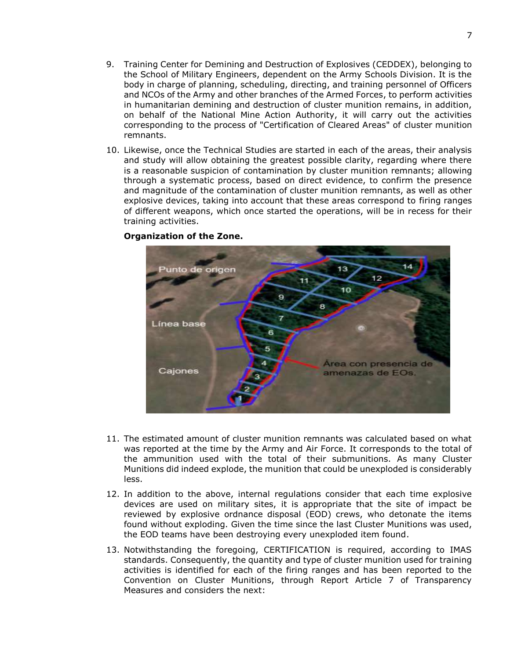- 9. Training Center for Demining and Destruction of Explosives (CEDDEX), belonging to the School of Military Engineers, dependent on the Army Schools Division. It is the body in charge of planning, scheduling, directing, and training personnel of Officers and NCOs of the Army and other branches of the Armed Forces, to perform activities in humanitarian demining and destruction of cluster munition remains, in addition, on behalf of the National Mine Action Authority, it will carry out the activities corresponding to the process of "Certification of Cleared Areas" of cluster munition remnants.
- 10. Likewise, once the Technical Studies are started in each of the areas, their analysis and study will allow obtaining the greatest possible clarity, regarding where there is a reasonable suspicion of contamination by cluster munition remnants; allowing through a systematic process, based on direct evidence, to confirm the presence and magnitude of the contamination of cluster munition remnants, as well as other explosive devices, taking into account that these areas correspond to firing ranges of different weapons, which once started the operations, will be in recess for their training activities.



#### **Organization of the Zone.**

- 11. The estimated amount of cluster munition remnants was calculated based on what was reported at the time by the Army and Air Force. It corresponds to the total of the ammunition used with the total of their submunitions. As many Cluster Munitions did indeed explode, the munition that could be unexploded is considerably less.
- 12. In addition to the above, internal regulations consider that each time explosive devices are used on military sites, it is appropriate that the site of impact be reviewed by explosive ordnance disposal (EOD) crews, who detonate the items found without exploding. Given the time since the last Cluster Munitions was used, the EOD teams have been destroying every unexploded item found.
- 13. Notwithstanding the foregoing, CERTIFICATION is required, according to IMAS standards. Consequently, the quantity and type of cluster munition used for training activities is identified for each of the firing ranges and has been reported to the Convention on Cluster Munitions, through Report Article 7 of Transparency Measures and considers the next: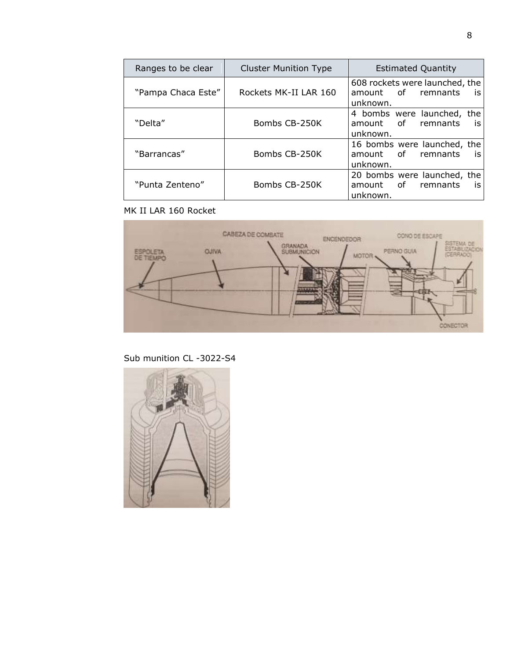| Ranges to be clear | <b>Cluster Munition Type</b> | <b>Estimated Quantity</b>                                              |  |  |  |
|--------------------|------------------------------|------------------------------------------------------------------------|--|--|--|
| "Pampa Chaca Este" | Rockets MK-II LAR 160        | 608 rockets were launched, the<br>amount of remnants<br>is<br>unknown. |  |  |  |
| "Delta"            | Bombs CB-250K                | 4 bombs were launched, the<br>amount of<br>remnants<br>is<br>unknown.  |  |  |  |
| "Barrancas"        | Bombs CB-250K                | 16 bombs were launched, the<br>amount of remnants<br>is<br>unknown.    |  |  |  |
| "Punta Zenteno"    | Bombs CB-250K                | 20 bombs were launched, the<br>amount of<br>remnants<br>is<br>unknown. |  |  |  |

# MK II LAR 160 Rocket



Sub munition CL -3022-S4

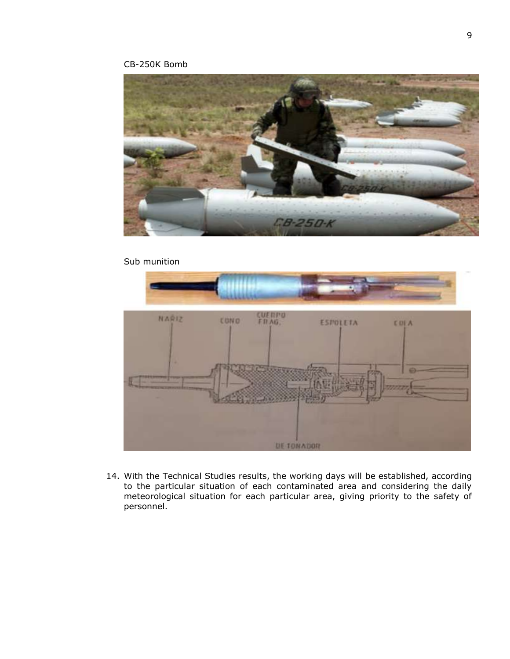# CB-250K Bomb



### Sub munition



14. With the Technical Studies results, the working days will be established, according to the particular situation of each contaminated area and considering the daily meteorological situation for each particular area, giving priority to the safety of personnel.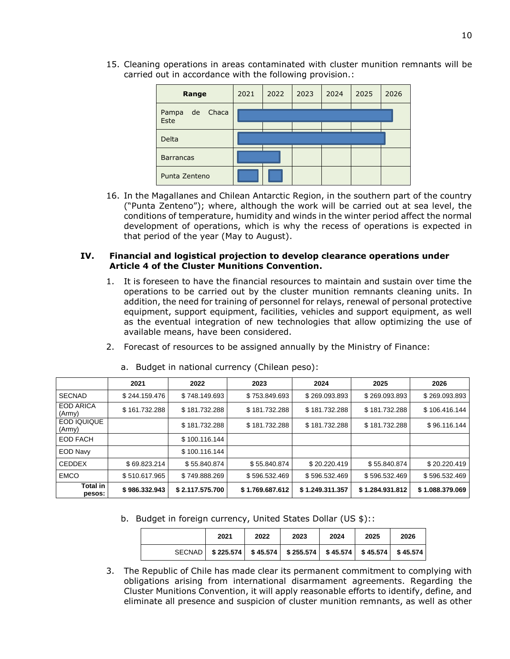15. Cleaning operations in areas contaminated with cluster munition remnants will be carried out in accordance with the following provision.:

| Range                        | 2021 | 2022 | 2023 | 2024 | 2025 | 2026 |
|------------------------------|------|------|------|------|------|------|
| Chaca<br>de<br>Pampa<br>Este |      |      |      |      |      |      |
| Delta                        |      |      |      |      |      |      |
| <b>Barrancas</b>             |      |      |      |      |      |      |
| Punta Zenteno                |      |      |      |      |      |      |

16. In the Magallanes and Chilean Antarctic Region, in the southern part of the country ("Punta Zenteno"); where, although the work will be carried out at sea level, the conditions of temperature, humidity and winds in the winter period affect the normal development of operations, which is why the recess of operations is expected in that period of the year (May to August).

# **IV. Financial and logistical projection to develop clearance operations under Article 4 of the Cluster Munitions Convention.**

- 1. It is foreseen to have the financial resources to maintain and sustain over time the operations to be carried out by the cluster munition remnants cleaning units. In addition, the need for training of personnel for relays, renewal of personal protective equipment, support equipment, facilities, vehicles and support equipment, as well as the eventual integration of new technologies that allow optimizing the use of available means, have been considered.
- 2. Forecast of resources to be assigned annually by the Ministry of Finance:

|                            | 2021          | 2022            | 2023            | 2024            | 2025            | 2026            |
|----------------------------|---------------|-----------------|-----------------|-----------------|-----------------|-----------------|
| <b>SECNAD</b>              | \$244.159.476 | \$748.149.693   | \$753.849.693   | \$269.093.893   | \$269.093.893   | \$269.093.893   |
| <b>EOD ARICA</b><br>(Army) | \$161.732.288 | \$181,732,288   | \$181.732.288   | \$181.732.288   | \$181,732,288   | \$106.416.144   |
| EOD IQUIQUE<br>(Army)      |               | \$181,732,288   | \$181.732.288   | \$181.732.288   | \$181,732,288   | \$96.116.144    |
| <b>EOD FACH</b>            |               | \$100.116.144   |                 |                 |                 |                 |
| <b>EOD Navy</b>            |               | \$100.116.144   |                 |                 |                 |                 |
| <b>CEDDEX</b>              | \$69.823.214  | \$55.840.874    | \$55.840.874    | \$20.220.419    | \$55.840.874    | \$20.220.419    |
| <b>EMCO</b>                | \$510.617.965 | \$749.888.269   | \$596.532.469   | \$596.532.469   | \$596.532.469   | \$596.532.469   |
| <b>Total in</b><br>pesos:  | \$986,332,943 | \$2.117.575.700 | \$1.769.687.612 | \$1.249.311.357 | \$1.284.931.812 | \$1.088.379.069 |

a. Budget in national currency (Chilean peso):

b. Budget in foreign currency, United States Dollar (US \$)::

| 2021 | 2022 | 2023                                                                             | 2024 | 2025 | 2026 |
|------|------|----------------------------------------------------------------------------------|------|------|------|
|      |      | SECNAD   $$225.574$   $$45.574$   $$255.574$   $$45.574$   $$45.574$   $$45.574$ |      |      |      |

3. The Republic of Chile has made clear its permanent commitment to complying with obligations arising from international disarmament agreements. Regarding the Cluster Munitions Convention, it will apply reasonable efforts to identify, define, and eliminate all presence and suspicion of cluster munition remnants, as well as other